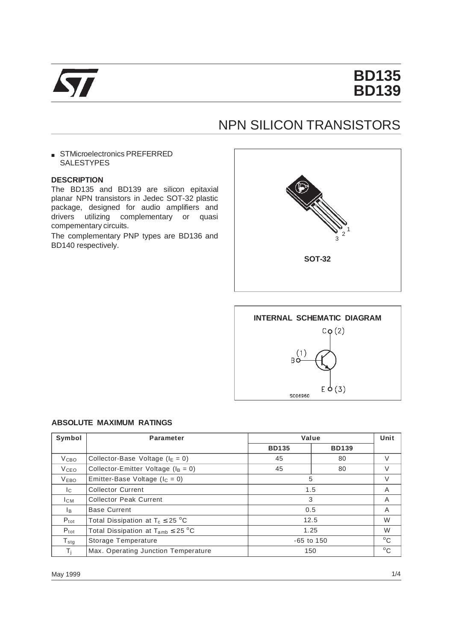

# **BD135 BD139**

## NPN SILICON TRANSISTORS

■ STMicroelectronics PREFERRED **SALESTYPES** 

### **DESCRIPTION**

The BD135 and BD139 are silicon epitaxial planar NPN transistors in Jedec SOT-32 plastic package, designed for audio amplifiers and drivers utilizing complementary or quasi compementary circuits.

The complementary PNP types are BD136 and BD140 respectively.





#### **ABSOLUTE MAXIMUM RATINGS**

| Symbol           | <b>Parameter</b>                                 | Value          | Unit         |   |
|------------------|--------------------------------------------------|----------------|--------------|---|
|                  |                                                  | <b>BD135</b>   | <b>BD139</b> |   |
| V <sub>CBO</sub> | Collector-Base Voltage ( $I_E = 0$ )             | 45             | 80           | V |
| V <sub>CEO</sub> | Collector-Emitter Voltage ( $I_B = 0$ )          | 45             | 80           | V |
| <b>VEBO</b>      | Emitter-Base Voltage ( $I_c = 0$ )               | 5              | V            |   |
| Ic.              | <b>Collector Current</b>                         | 1.5            | A            |   |
| Iсм              | <b>Collector Peak Current</b>                    | 3              | A            |   |
| lв.              | <b>Base Current</b>                              | 0.5            | A            |   |
| $P_{\text{tot}}$ | Total Dissipation at $T_c \leq 25$ °C            | 12.5           | W            |   |
| $P_{\text{tot}}$ | Total Dissipation at $T_{amb} \leq 25 \degree C$ | 1.25           | W            |   |
| $T_{\text{stg}}$ | Storage Temperature                              | $-65$ to $150$ | $^{\circ}$ C |   |
| Τi               | Max. Operating Junction Temperature              | 150            | $^{\circ}$ C |   |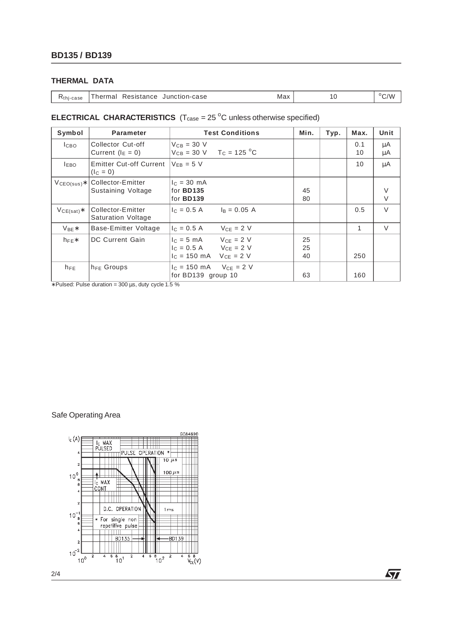## **THERMAL DATA**

|  |  |  | R <sub>thi-case</sub> Thermal Resistance Junction-case | Max |  | $\rm ^{o}C/W$ |
|--|--|--|--------------------------------------------------------|-----|--|---------------|
|--|--|--|--------------------------------------------------------|-----|--|---------------|

## **ELECTRICAL CHARACTERISTICS**  $(T_{\text{case}} = 25 \degree C)$  unless otherwise specified)

| Symbol          | <b>Parameter</b>                               | <b>Test Conditions</b>                                                                                                       | Min.           | Typ. | Max.         | Unit        |
|-----------------|------------------------------------------------|------------------------------------------------------------------------------------------------------------------------------|----------------|------|--------------|-------------|
| <b>І</b> сво    | Collector Cut-off<br>Current $(I_E = 0)$       | $V_{CB} = 30 V$<br>$V_{CB} = 30 \text{ V}$ T <sub>C</sub> = 125 °C                                                           |                |      | 0.1<br>10    | μA<br>μA    |
| <b>IEBO</b>     | <b>Emitter Cut-off Current</b><br>$(IC = 0)$   | $V_{EB} = 5 V$                                                                                                               |                |      | 10           | μA          |
| $VCEO(sus)*$    | Collector-Emitter<br>Sustaining Voltage        | $c = 30$ mA<br>for <b>BD135</b><br>for <b>BD139</b>                                                                          | 45<br>80       |      |              | V<br>$\vee$ |
| $V_{CE(sat)}$ * | Collector-Emitter<br><b>Saturation Voltage</b> | $I_C = 0.5 A$<br>$I_R = 0.05 A$                                                                                              |                |      | 0.5          | $\vee$      |
| $V_{BF}$ *      | Base-Emitter Voltage                           | $V_{CF} = 2 V$<br>$I_C = 0.5 A$                                                                                              |                |      | $\mathbf{1}$ | V           |
| $h_{\text{FF}}$ | DC Current Gain                                | $I_C = 5 \text{ mA}$ $V_{CE} = 2 \text{ V}$<br>$I_C = 0.5 A$ $V_{CE} = 2 V$<br>$I_C = 150 \text{ mA}$ $V_{CE} = 2 \text{ V}$ | 25<br>25<br>40 |      | 250          |             |
| $h_{FE}$        | $h_{FE}$ Groups                                | $VCF = 2 V$<br>$c = 150 \text{ mA}$<br>for BD139 group 10                                                                    | 63             |      | 160          |             |

∗ Pulsed: Pulse duration = 300 µs, duty cycle 1.5 %

## Safe Operating Area



勾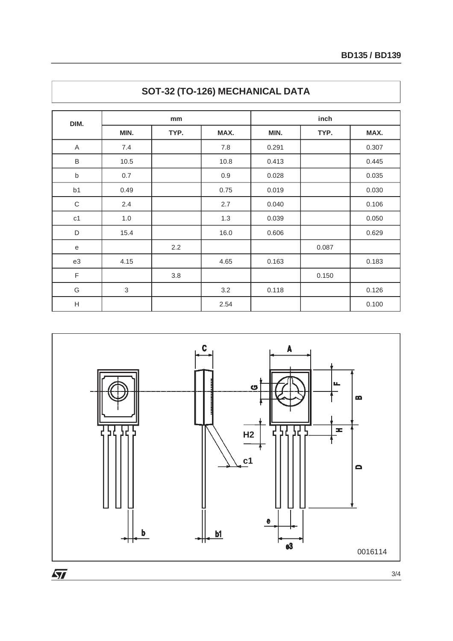| DIM.           |                           | mm   |      | inch  |       |       |  |
|----------------|---------------------------|------|------|-------|-------|-------|--|
|                | MIN.                      | TYP. | MAX. | MIN.  | TYP.  | MAX.  |  |
| $\mathsf A$    | 7.4                       |      | 7.8  | 0.291 |       | 0.307 |  |
| $\sf B$        | 10.5                      |      | 10.8 | 0.413 |       | 0.445 |  |
| $\sf b$        | 0.7                       |      | 0.9  | 0.028 |       | 0.035 |  |
| b <sub>1</sub> | 0.49                      |      | 0.75 | 0.019 |       | 0.030 |  |
| $\mathsf C$    | 2.4                       |      | 2.7  | 0.040 |       | 0.106 |  |
| c1             | 1.0                       |      | 1.3  | 0.039 |       | 0.050 |  |
| $\mathsf D$    | 15.4                      |      | 16.0 | 0.606 |       | 0.629 |  |
| ${\bf e}$      |                           | 2.2  |      |       | 0.087 |       |  |
| e3             | 4.15                      |      | 4.65 | 0.163 |       | 0.183 |  |
| F              |                           | 3.8  |      |       | 0.150 |       |  |
| G              | $\ensuremath{\mathsf{3}}$ |      | 3.2  | 0.118 |       | 0.126 |  |
| H              |                           |      | 2.54 |       |       | 0.100 |  |





 $\sqrt{27}$